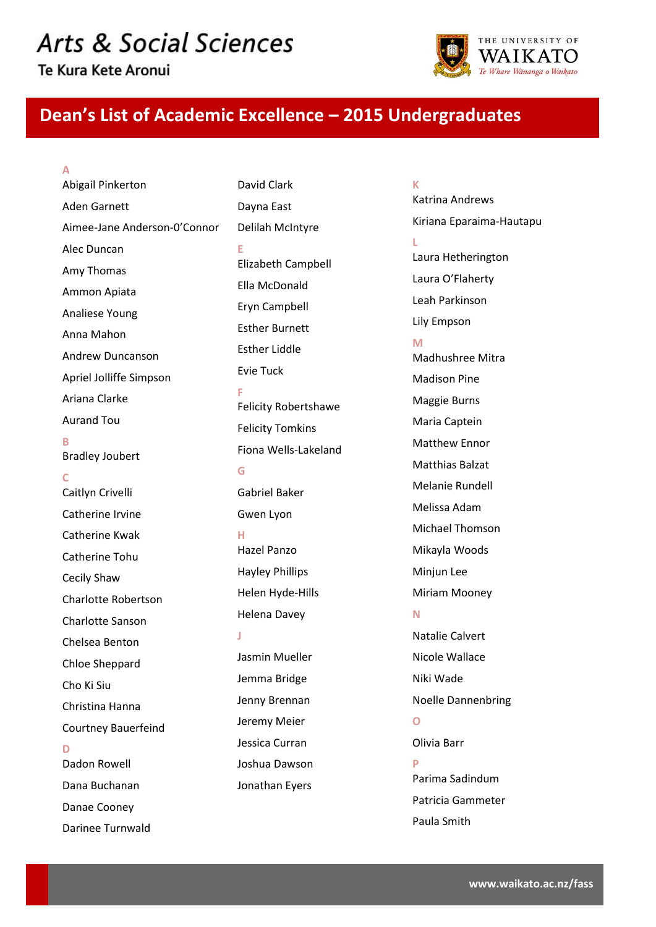# **Arts & Social Sciences**

Te Kura Kete Aronui

**A**



## **Dean's List of Academic Excellence – 2015 Undergraduates**

Abigail Pinkerton Aden Garnett Aimee-Jane Anderson-0'Connor Alec Duncan Amy Thomas Ammon Apiata Analiese Young Anna Mahon Andrew Duncanson Apriel Jolliffe Simpson Ariana Clarke Aurand Tou **B** Bradley Joubert **C** Caitlyn Crivelli Catherine Irvine Catherine Kwak Catherine Tohu Cecily Shaw Charlotte Robertson Charlotte Sanson Chelsea Benton Chloe Sheppard Cho Ki Siu Christina Hanna Courtney Bauerfeind **D** Dadon Rowell Dana Buchanan Danae Cooney Darinee Turnwald

David Clark Dayna East Delilah McIntyre **E** Elizabeth Campbell Ella McDonald Eryn Campbell Esther Burnett Esther Liddle Evie Tuck **F** Felicity Robertshawe Felicity Tomkins Fiona Wells-Lakeland **G** Gabriel Baker Gwen Lyon **H** Hazel Panzo Hayley Phillips Helen Hyde-Hills Helena Davey **J** Jasmin Mueller Jemma Bridge Jenny Brennan Jeremy Meier Jessica Curran Joshua Dawson Jonathan Eyers

**K** Katrina Andrews Kiriana Eparaima-Hautapu **L** Laura Hetherington Laura O'Flaherty Leah Parkinson Lily Empson **M** Madhushree Mitra Madison Pine Maggie Burns Maria Captein Matthew Ennor Matthias Balzat Melanie Rundell Melissa Adam Michael Thomson Mikayla Woods Minjun Lee Miriam Mooney **N** Natalie Calvert Nicole Wallace Niki Wade Noelle Dannenbring **O** Olivia Barr **P** Parima Sadindum Patricia Gammeter Paula Smith